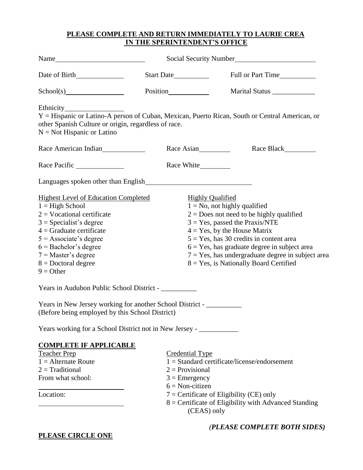# **PLEASE COMPLETE AND RETURN IMMEDIATELY TO LAURIE CREA IN THE SPERINTENDENT'S OFFICE**

| Start Date                                                                                                          | Full or Part Time                                                                                                                                                                                                                                                                                                                                           |
|---------------------------------------------------------------------------------------------------------------------|-------------------------------------------------------------------------------------------------------------------------------------------------------------------------------------------------------------------------------------------------------------------------------------------------------------------------------------------------------------|
|                                                                                                                     | Marital Status _____________                                                                                                                                                                                                                                                                                                                                |
| other Spanish Culture or origin, regardless of race.                                                                | Y = Hispanic or Latino-A person of Cuban, Mexican, Puerto Rican, South or Central American, or                                                                                                                                                                                                                                                              |
| Race American Indian<br>Race Asian                                                                                  | Race Black                                                                                                                                                                                                                                                                                                                                                  |
| Race White___________                                                                                               |                                                                                                                                                                                                                                                                                                                                                             |
| Languages spoken other than English                                                                                 |                                                                                                                                                                                                                                                                                                                                                             |
| <b>Highest Level of Education Completed</b><br><b>Highly Qualified</b><br>Years in Audubon Public School District - | $1 = No$ , not highly qualified<br>$2 = Does not need to be highly qualified$<br>$3 = Yes$ , passed the Praxis/NTE<br>$4 = Yes$ , by the House Matrix<br>$5 = Yes$ , has 30 credits in content area<br>$6 = Yes$ , has graduate degree in subject area<br>$7 = Yes$ , has undergraduate degree in subject area<br>$8 = Yes$ , is Nationally Board Certified |
| Years in New Jersey working for another School District -<br>(Before being employed by this School District)        |                                                                                                                                                                                                                                                                                                                                                             |
| Years working for a School District not in New Jersey - ________________________                                    |                                                                                                                                                                                                                                                                                                                                                             |
|                                                                                                                     |                                                                                                                                                                                                                                                                                                                                                             |
| <b>Credential Type</b><br>$2 = Provisional$<br>$3 =$ Emergency<br>$6 = Non-citizen$                                 | $1 =$ Standard certificate/license/endorsement<br>$7$ = Certificate of Eligibility (CE) only<br>8 = Certificate of Eligibility with Advanced Standing                                                                                                                                                                                                       |
|                                                                                                                     | (CEAS) only                                                                                                                                                                                                                                                                                                                                                 |

*(PLEASE COMPLETE BOTH SIDES)*

**PLEASE CIRCLE ONE**